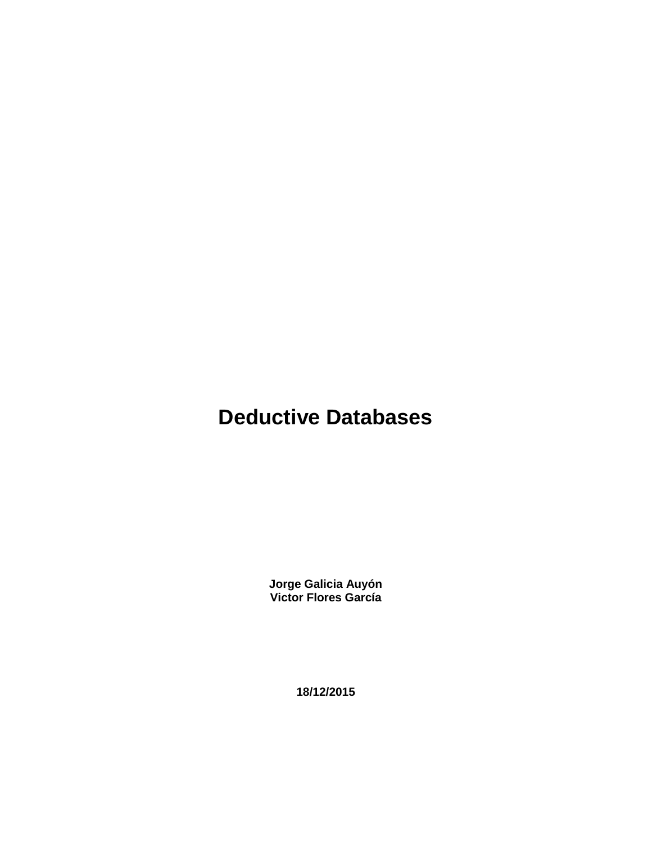# **Deductive Databases**

**Jorge Galicia Auyón Victor Flores García**

**18/12/2015**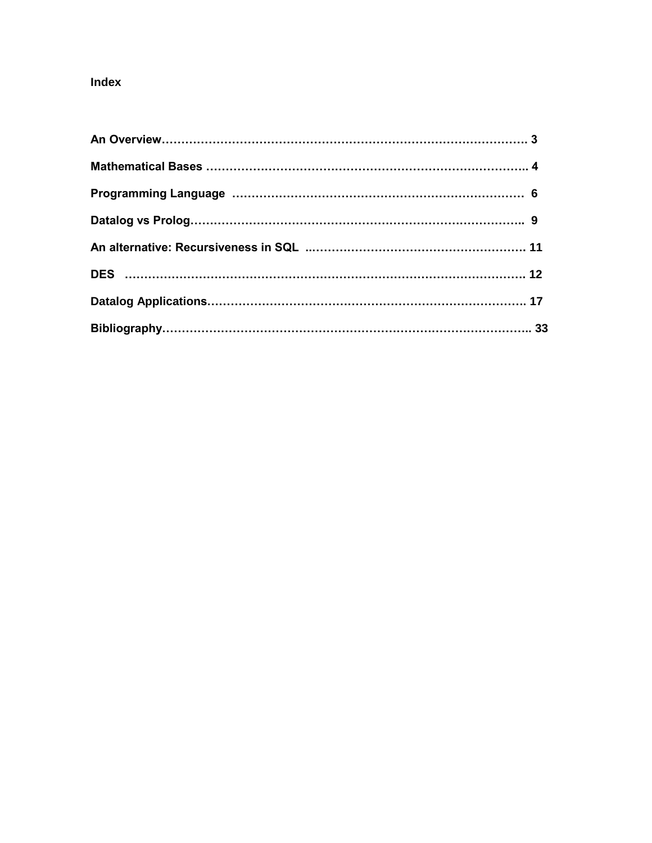# **Index**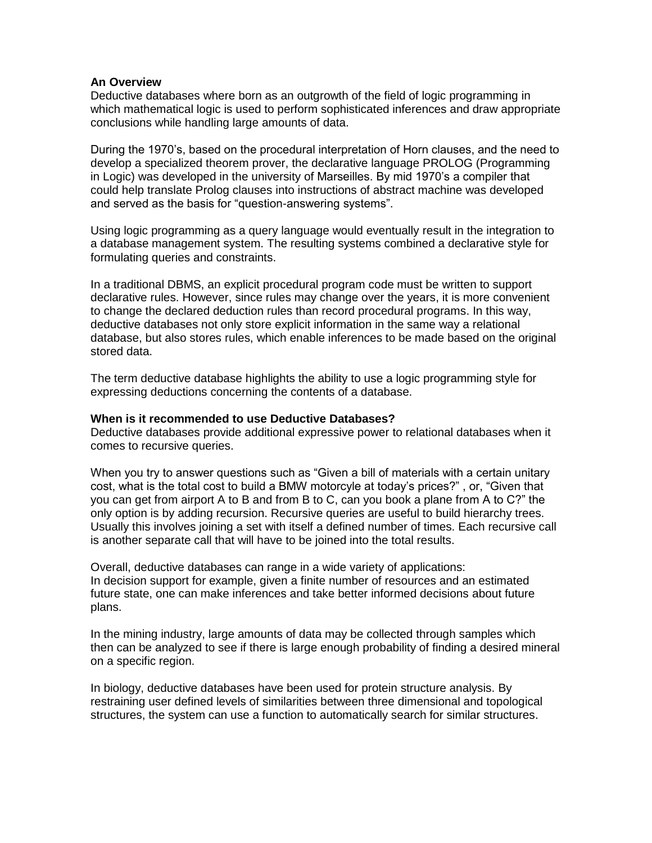#### **An Overview**

Deductive databases where born as an outgrowth of the field of logic programming in which mathematical logic is used to perform sophisticated inferences and draw appropriate conclusions while handling large amounts of data.

During the 1970's, based on the procedural interpretation of Horn clauses, and the need to develop a specialized theorem prover, the declarative language PROLOG (Programming in Logic) was developed in the university of Marseilles. By mid 1970's a compiler that could help translate Prolog clauses into instructions of abstract machine was developed and served as the basis for "question-answering systems".

Using logic programming as a query language would eventually result in the integration to a database management system. The resulting systems combined a declarative style for formulating queries and constraints.

In a traditional DBMS, an explicit procedural program code must be written to support declarative rules. However, since rules may change over the years, it is more convenient to change the declared deduction rules than record procedural programs. In this way, deductive databases not only store explicit information in the same way a relational database, but also stores rules, which enable inferences to be made based on the original stored data.

The term deductive database highlights the ability to use a logic programming style for expressing deductions concerning the contents of a database.

#### **When is it recommended to use Deductive Databases?**

Deductive databases provide additional expressive power to relational databases when it comes to recursive queries.

When you try to answer questions such as "Given a bill of materials with a certain unitary cost, what is the total cost to build a BMW motorcyle at today's prices?" , or, "Given that you can get from airport A to B and from B to C, can you book a plane from A to C?" the only option is by adding recursion. Recursive queries are useful to build hierarchy trees. Usually this involves joining a set with itself a defined number of times. Each recursive call is another separate call that will have to be joined into the total results.

Overall, deductive databases can range in a wide variety of applications: In decision support for example, given a finite number of resources and an estimated future state, one can make inferences and take better informed decisions about future plans.

In the mining industry, large amounts of data may be collected through samples which then can be analyzed to see if there is large enough probability of finding a desired mineral on a specific region.

In biology, deductive databases have been used for protein structure analysis. By restraining user defined levels of similarities between three dimensional and topological structures, the system can use a function to automatically search for similar structures.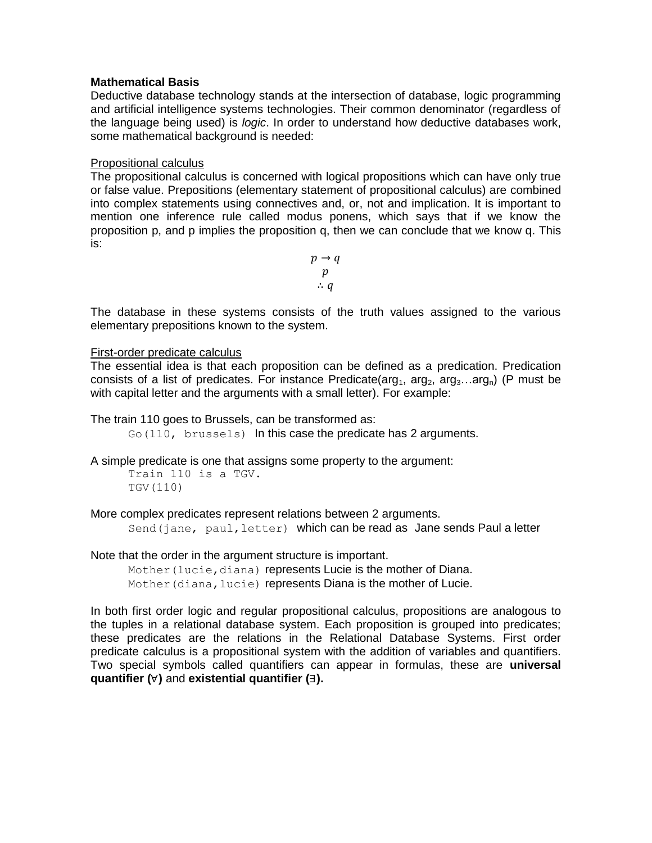#### **Mathematical Basis**

Deductive database technology stands at the intersection of database, logic programming and artificial intelligence systems technologies. Their common denominator (regardless of the language being used) is *logic*. In order to understand how deductive databases work, some mathematical background is needed:

#### Propositional calculus

The propositional calculus is concerned with logical propositions which can have only true or false value. Prepositions (elementary statement of propositional calculus) are combined into complex statements using connectives and, or, not and implication. It is important to mention one inference rule called modus ponens, which says that if we know the proposition p, and p implies the proposition q, then we can conclude that we know q. This is:

> $p \rightarrow q$  $p$  $\therefore q$

The database in these systems consists of the truth values assigned to the various elementary prepositions known to the system.

## First-order predicate calculus

The essential idea is that each proposition can be defined as a predication. Predication consists of a list of predicates. For instance Predicate( $\arg_1$ ,  $\arg_2$ ,  $\arg_3$ ... $\arg_0$ ) (P must be with capital letter and the arguments with a small letter). For example:

The train 110 goes to Brussels, can be transformed as:

Go(110, brussels) In this case the predicate has 2 arguments.

A simple predicate is one that assigns some property to the argument:

Train 110 is a TGV. TGV(110)

More complex predicates represent relations between 2 arguments.

Send(jane, paul, letter) which can be read as Jane sends Paul a letter

Note that the order in the argument structure is important.

Mother(lucie, diana) represents Lucie is the mother of Diana. Mother (diana, lucie) represents Diana is the mother of Lucie.

In both first order logic and regular propositional calculus, propositions are analogous to the tuples in a relational database system. Each proposition is grouped into predicates; these predicates are the relations in the Relational Database Systems. First order predicate calculus is a propositional system with the addition of variables and quantifiers. Two special symbols called quantifiers can appear in formulas, these are **universal quantifier ( )** and **existential quantifier ( ).**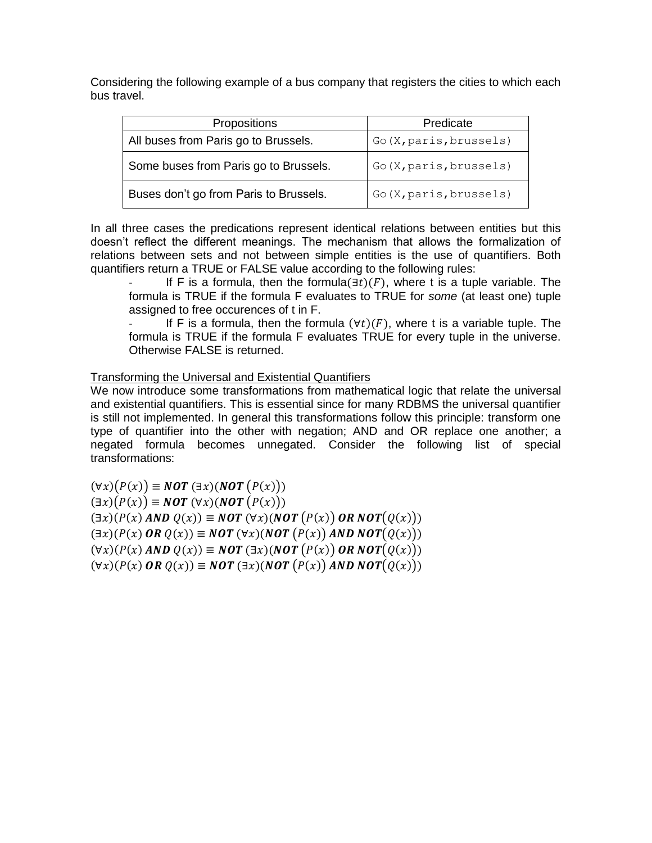Considering the following example of a bus company that registers the cities to which each bus travel.

| <b>Propositions</b>                    | Predicate               |  |
|----------------------------------------|-------------------------|--|
| All buses from Paris go to Brussels.   | Go (X, paris, brussels) |  |
| Some buses from Paris go to Brussels.  | Go (X, paris, brussels) |  |
| Buses don't go from Paris to Brussels. | Go (X, paris, brussels) |  |

In all three cases the predications represent identical relations between entities but this doesn't reflect the different meanings. The mechanism that allows the formalization of relations between sets and not between simple entities is the use of quantifiers. Both quantifiers return a TRUE or FALSE value according to the following rules:

If F is a formula, then the formula  $(\exists t)(F)$ , where t is a tuple variable. The formula is TRUE if the formula F evaluates to TRUE for *some* (at least one) tuple assigned to free occurences of t in F.

If F is a formula, then the formula  $(\forall t)(F)$ , where t is a variable tuple. The formula is TRUE if the formula F evaluates TRUE for every tuple in the universe. Otherwise FALSE is returned.

## Transforming the Universal and Existential Quantifiers

We now introduce some transformations from mathematical logic that relate the universal and existential quantifiers. This is essential since for many RDBMS the universal quantifier is still not implemented. In general this transformations follow this principle: transform one type of quantifier into the other with negation; AND and OR replace one another; a negated formula becomes unnegated. Consider the following list of special transformations:

 $(\forall x)(P(x)) \equiv NOT(\exists x)(NOT(P(x)))$  $(\exists x)(P(x)) \equiv NOT(\forall x)(NOT(P(x)))$  $(\exists x)(P(x) \text{ AND } Q(x)) \equiv \text{NOT } (\forall x)(\text{NOT } (P(x)) \text{ OR NOT}(Q(x)))$  $(\exists x)(P(x) \textbf{ OR } Q(x)) \equiv \textbf{NOT} (\forall x)(\textbf{NOT} (P(x)) \textbf{ AND NOT} (Q(x)))$  $(\forall x)(P(x) \text{ AND } Q(x)) \equiv \text{NOT } (\exists x)(\text{NOT } (P(x)) \text{ OR NOT}(Q(x)))$  $(\forall x)(P(x) \textbf{ OR } Q(x)) \equiv \textbf{NOT} (\exists x)(\textbf{NOT} (P(x)) \textbf{ AND NOT} (Q(x)))$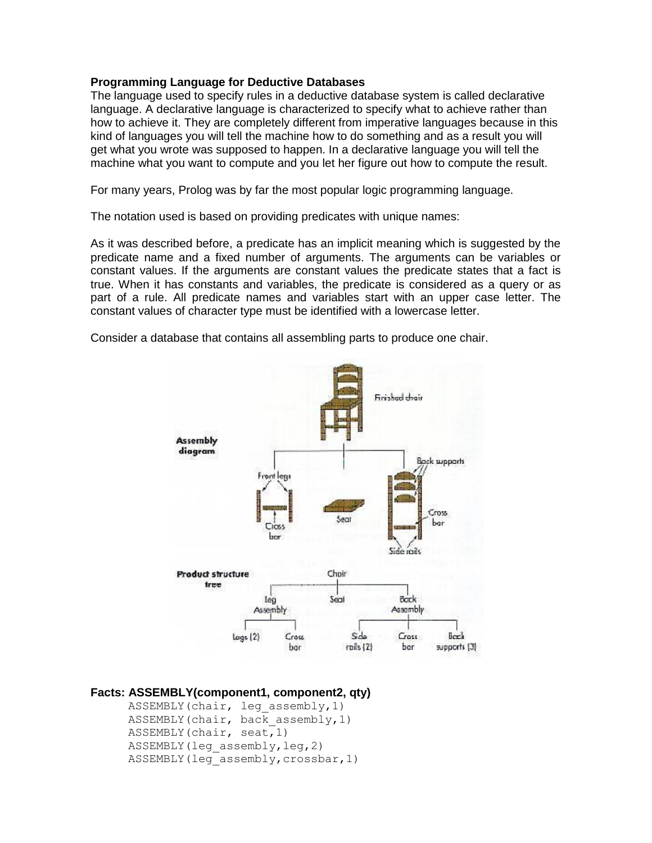#### **Programming Language for Deductive Databases**

The language used to specify rules in a deductive database system is called declarative language. A declarative language is characterized to specify what to achieve rather than how to achieve it. They are completely different from imperative languages because in this kind of languages you will tell the machine how to do something and as a result you will get what you wrote was supposed to happen. In a declarative language you will tell the machine what you want to compute and you let her figure out how to compute the result.

For many years, Prolog was by far the most popular logic programming language.

The notation used is based on providing predicates with unique names:

As it was described before, a predicate has an implicit meaning which is suggested by the predicate name and a fixed number of arguments. The arguments can be variables or constant values. If the arguments are constant values the predicate states that a fact is true. When it has constants and variables, the predicate is considered as a query or as part of a rule. All predicate names and variables start with an upper case letter. The constant values of character type must be identified with a lowercase letter.



Consider a database that contains all assembling parts to produce one chair.

```
Facts: ASSEMBLY(component1, component2, qty)
```

```
ASSEMBLY(chair, leg assembly, 1)
ASSEMBLY(chair, back assembly, 1)
ASSEMBLY(chair, seat,1)
ASSEMBLY(leg_assembly,leg,2)
ASSEMBLY(leg_assembly,crossbar,1)
```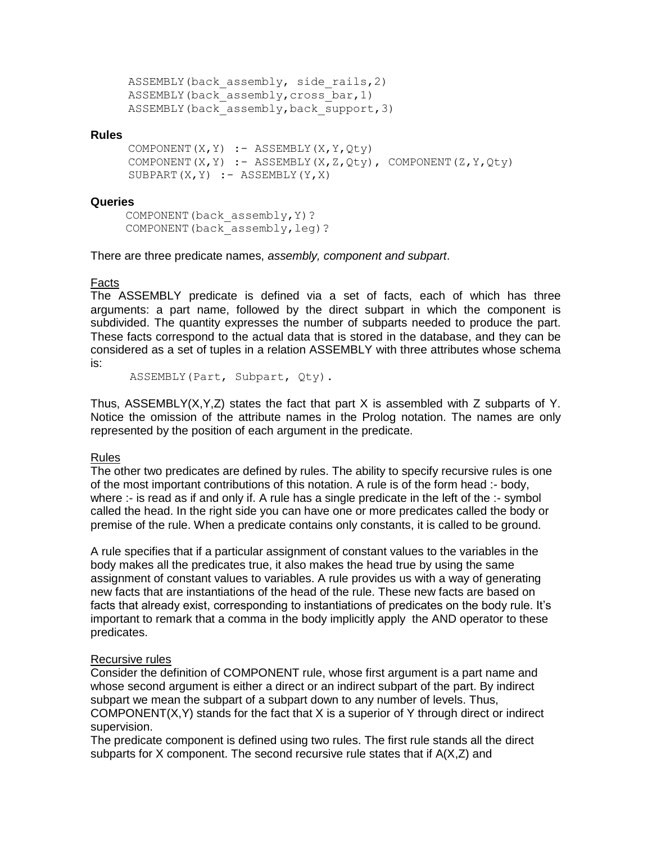```
ASSEMBLY(back assembly, side rails, 2)
ASSEMBLY(back assembly, cross bar, 1)
ASSEMBLY(back assembly, back support, 3)
```
#### **Rules**

```
COMPONENT(X, Y) :- ASSEMBLY(X, Y, Qty)COMPONENT(X, Y) :- ASSEMBLY(X, Z, Qty), COMPONENT(Z, Y, Qty)SUBPART(X, Y) :- ASSEMBLY(Y, X)
```
#### **Queries**

 COMPONENT(back\_assembly,Y)? COMPONENT(back\_assembly,leg)?

There are three predicate names, *assembly, component and subpart*.

#### Facts

The ASSEMBLY predicate is defined via a set of facts, each of which has three arguments: a part name, followed by the direct subpart in which the component is subdivided. The quantity expresses the number of subparts needed to produce the part. These facts correspond to the actual data that is stored in the database, and they can be considered as a set of tuples in a relation ASSEMBLY with three attributes whose schema is:

ASSEMBLY(Part, Subpart, Qty).

Thus, ASSEMBLY(X,Y,Z) states the fact that part X is assembled with Z subparts of Y. Notice the omission of the attribute names in the Prolog notation. The names are only represented by the position of each argument in the predicate.

#### Rules

The other two predicates are defined by rules. The ability to specify recursive rules is one of the most important contributions of this notation. A rule is of the form head :- body, where :- is read as if and only if. A rule has a single predicate in the left of the :- symbol called the head. In the right side you can have one or more predicates called the body or premise of the rule. When a predicate contains only constants, it is called to be ground.

A rule specifies that if a particular assignment of constant values to the variables in the body makes all the predicates true, it also makes the head true by using the same assignment of constant values to variables. A rule provides us with a way of generating new facts that are instantiations of the head of the rule. These new facts are based on facts that already exist, corresponding to instantiations of predicates on the body rule. It's important to remark that a comma in the body implicitly apply the AND operator to these predicates.

#### Recursive rules

Consider the definition of COMPONENT rule, whose first argument is a part name and whose second argument is either a direct or an indirect subpart of the part. By indirect subpart we mean the subpart of a subpart down to any number of levels. Thus, COMPONENT $(X, Y)$  stands for the fact that X is a superior of Y through direct or indirect supervision.

The predicate component is defined using two rules. The first rule stands all the direct subparts for X component. The second recursive rule states that if  $A(X,Z)$  and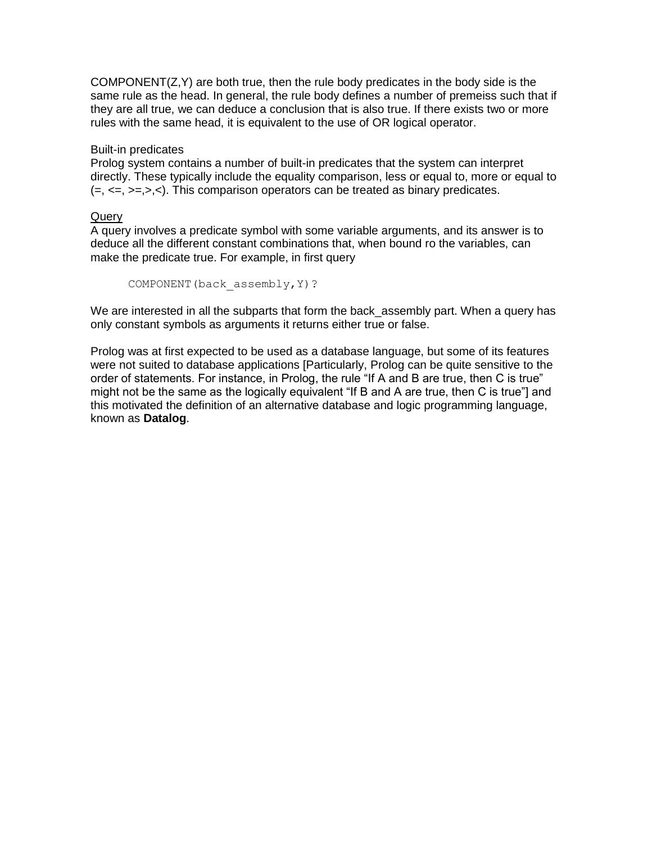COMPONENT(Z,Y) are both true, then the rule body predicates in the body side is the same rule as the head. In general, the rule body defines a number of premeiss such that if they are all true, we can deduce a conclusion that is also true. If there exists two or more rules with the same head, it is equivalent to the use of OR logical operator.

## Built-in predicates

Prolog system contains a number of built-in predicates that the system can interpret directly. These typically include the equality comparison, less or equal to, more or equal to  $(=, \leq, \leq, >, \leq).$  This comparison operators can be treated as binary predicates.

## **Query**

A query involves a predicate symbol with some variable arguments, and its answer is to deduce all the different constant combinations that, when bound ro the variables, can make the predicate true. For example, in first query

```
COMPONENT(back_assembly,Y)?
```
We are interested in all the subparts that form the back\_assembly part. When a query has only constant symbols as arguments it returns either true or false.

Prolog was at first expected to be used as a database language, but some of its features were not suited to database applications [Particularly, Prolog can be quite sensitive to the order of statements. For instance, in Prolog, the rule "If A and B are true, then C is true" might not be the same as the logically equivalent "If B and A are true, then C is true"] and this motivated the definition of an alternative database and logic programming language, known as **Datalog**.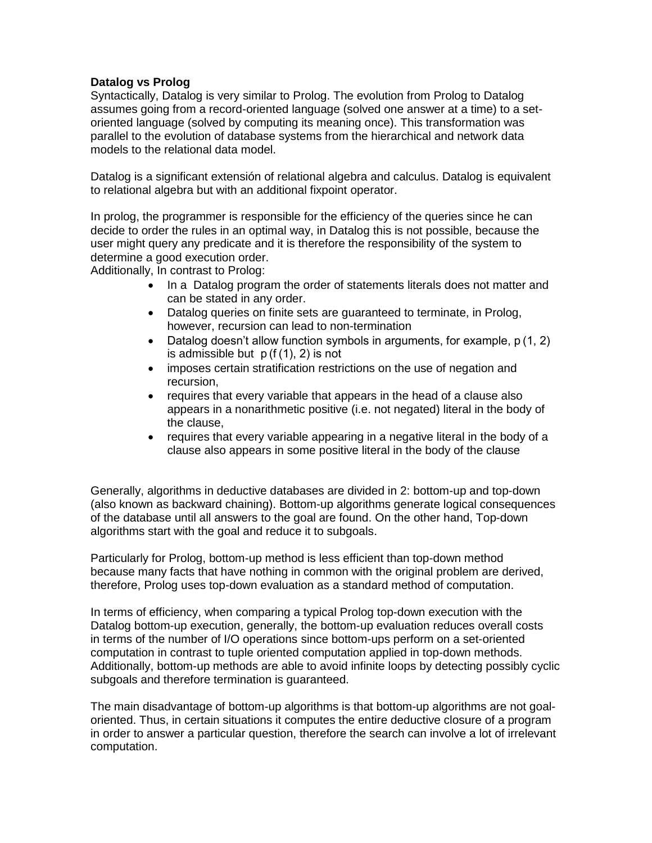## **Datalog vs Prolog**

Syntactically, Datalog is very similar to Prolog. The evolution from Prolog to Datalog assumes going from a record-oriented language (solved one answer at a time) to a setoriented language (solved by computing its meaning once). This transformation was parallel to the evolution of database systems from the hierarchical and network data models to the relational data model.

Datalog is a significant extensión of relational algebra and calculus. Datalog is equivalent to relational algebra but with an additional fixpoint operator.

In prolog, the programmer is responsible for the efficiency of the queries since he can decide to order the rules in an optimal way, in Datalog this is not possible, because the user might query any predicate and it is therefore the responsibility of the system to determine a good execution order.

Additionally, In contrast to Prolog:

- In a Datalog program the order of statements literals does not matter and can be stated in any order.
- Datalog queries on finite sets are guaranteed to terminate, in Prolog, however, recursion can lead to non-termination
- Datalog doesn't allow function symbols in arguments, for example, p (1, 2) is admissible but p (f (1), 2) is not
- imposes certain stratification restrictions on the use of negation and recursion,
- requires that every variable that appears in the head of a clause also appears in a nonarithmetic positive (i.e. not negated) literal in the body of the clause,
- requires that every variable appearing in a negative literal in the body of a clause also appears in some positive literal in the body of the clause

Generally, algorithms in deductive databases are divided in 2: bottom-up and top-down (also known as backward chaining). Bottom-up algorithms generate logical consequences of the database until all answers to the goal are found. On the other hand, Top-down algorithms start with the goal and reduce it to subgoals.

Particularly for Prolog, bottom-up method is less efficient than top-down method because many facts that have nothing in common with the original problem are derived, therefore, Prolog uses top-down evaluation as a standard method of computation.

In terms of efficiency, when comparing a typical Prolog top-down execution with the Datalog bottom-up execution, generally, the bottom-up evaluation reduces overall costs in terms of the number of I/O operations since bottom-ups perform on a set-oriented computation in contrast to tuple oriented computation applied in top-down methods. Additionally, bottom-up methods are able to avoid infinite loops by detecting possibly cyclic subgoals and therefore termination is guaranteed.

The main disadvantage of bottom-up algorithms is that bottom-up algorithms are not goaloriented. Thus, in certain situations it computes the entire deductive closure of a program in order to answer a particular question, therefore the search can involve a lot of irrelevant computation.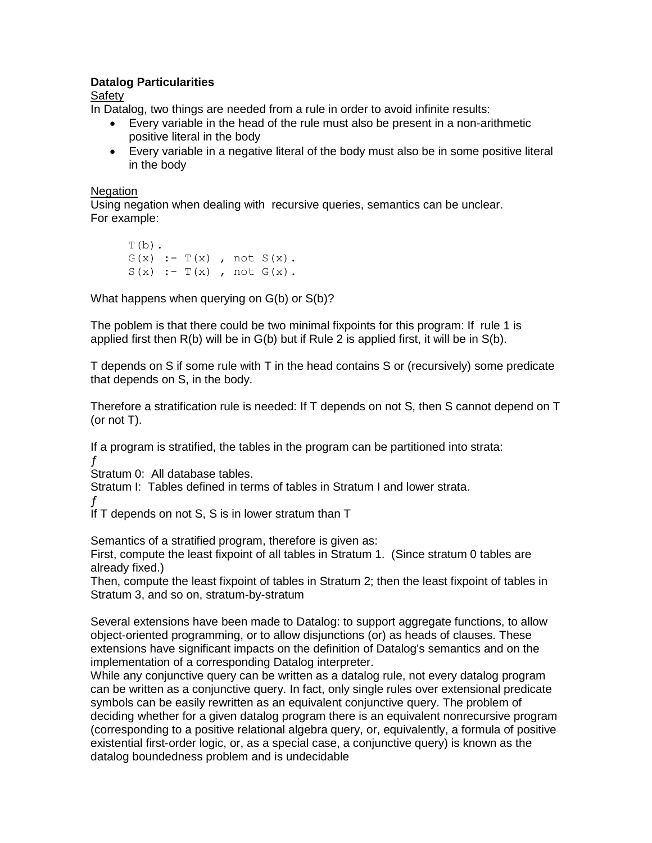# **Datalog Particularities**

Safety

In Datalog, two things are needed from a rule in order to avoid infinite results:

- Every variable in the head of the rule must also be present in a non-arithmetic positive literal in the body
- Every variable in a negative literal of the body must also be in some positive literal in the body

# **Negation**

Using negation when dealing with recursive queries, semantics can be unclear. For example:

 $T(b)$ .  $G(x)$  :-  $T(x)$ , not  $S(x)$ .  $S(x) := T(x)$ , not  $G(x)$ .

What happens when querying on G(b) or S(b)?

The poblem is that there could be two minimal fixpoints for this program: If rule 1 is applied first then R(b) will be in G(b) but if Rule 2 is applied first, it will be in S(b).

T depends on S if some rule with T in the head contains S or (recursively) some predicate that depends on S, in the body.

Therefore a stratification rule is needed: If T depends on not S, then S cannot depend on T (or not T).

If a program is stratified, the tables in the program can be partitioned into strata: ƒ

Stratum 0: All database tables.

Stratum I: Tables defined in terms of tables in Stratum I and lower strata.

ƒ

If T depends on not S, S is in lower stratum than T

Semantics of a stratified program, therefore is given as:

First, compute the least fixpoint of all tables in Stratum 1. (Since stratum 0 tables are already fixed.)

Then, compute the least fixpoint of tables in Stratum 2; then the least fixpoint of tables in Stratum 3, and so on, stratum-by-stratum

Several extensions have been made to Datalog: to support aggregate functions, to allow object-oriented programming, or to allow disjunctions (or) as heads of clauses. These extensions have significant impacts on the definition of Datalog's semantics and on the implementation of a corresponding Datalog interpreter.

While any conjunctive query can be written as a datalog rule, not every datalog program can be written as a conjunctive query. In fact, only single rules over extensional predicate symbols can be easily rewritten as an equivalent conjunctive query. The problem of deciding whether for a given datalog program there is an equivalent nonrecursive program (corresponding to a positive relational algebra query, or, equivalently, a formula of positive existential first-order logic, or, as a special case, a conjunctive query) is known as the datalog boundedness problem and is undecidable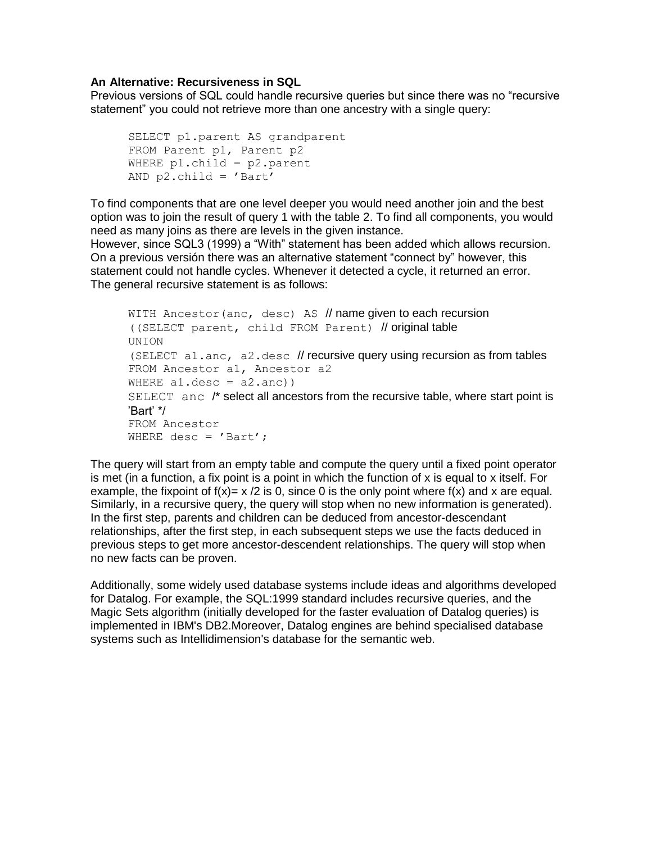## **An Alternative: Recursiveness in SQL**

Previous versions of SQL could handle recursive queries but since there was no "recursive statement" you could not retrieve more than one ancestry with a single query:

```
SELECT p1.parent AS grandparent
FROM Parent p1, Parent p2
WHERE p1.child = p2.parent
AND p2.child = 'Bart'
```
To find components that are one level deeper you would need another join and the best option was to join the result of query 1 with the table 2. To find all components, you would need as many joins as there are levels in the given instance.

However, since SQL3 (1999) a "With" statement has been added which allows recursion. On a previous versión there was an alternative statement "connect by" however, this statement could not handle cycles. Whenever it detected a cycle, it returned an error. The general recursive statement is as follows:

```
WITH Ancestor(anc, desc) AS // name given to each recursion
((SELECT parent, child FROM Parent) // original table
UNION
(SELECT a1.anc, a2.desc // recursive query using recursion as from tables
FROM Ancestor a1, Ancestor a2
WHERE a1.desc = a2.anc))
SELECT anc /* select all ancestors from the recursive table, where start point is 
'Bart' */
FROM Ancestor
WHERE desc = ' Bart';
```
The query will start from an empty table and compute the query until a fixed point operator is met (in a function, a fix point is a point in which the function of x is equal to x itself. For example, the fixpoint of  $f(x)= x/2$  is 0, since 0 is the only point where  $f(x)$  and x are equal. Similarly, in a recursive query, the query will stop when no new information is generated). In the first step, parents and children can be deduced from ancestor-descendant relationships, after the first step, in each subsequent steps we use the facts deduced in previous steps to get more ancestor-descendent relationships. The query will stop when no new facts can be proven.

Additionally, some widely used database systems include ideas and algorithms developed for Datalog. For example, the SQL:1999 standard includes recursive queries, and the Magic Sets algorithm (initially developed for the faster evaluation of Datalog queries) is implemented in IBM's DB2.Moreover, Datalog engines are behind specialised database systems such as Intellidimension's database for the semantic web.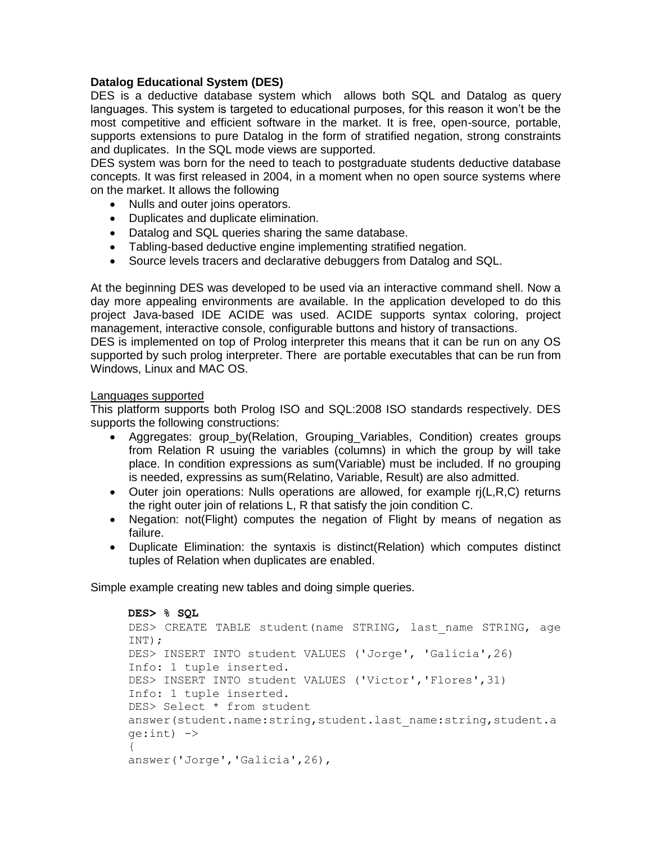# **Datalog Educational System (DES)**

DES is a deductive database system which allows both SQL and Datalog as query languages. This system is targeted to educational purposes, for this reason it won't be the most competitive and efficient software in the market. It is free, open-source, portable, supports extensions to pure Datalog in the form of stratified negation, strong constraints and duplicates. In the SQL mode views are supported.

DES system was born for the need to teach to postgraduate students deductive database concepts. It was first released in 2004, in a moment when no open source systems where on the market. It allows the following

- Nulls and outer joins operators.
- Duplicates and duplicate elimination.
- Datalog and SQL queries sharing the same database.
- Tabling-based deductive engine implementing stratified negation.
- Source levels tracers and declarative debuggers from Datalog and SQL.

At the beginning DES was developed to be used via an interactive command shell. Now a day more appealing environments are available. In the application developed to do this project Java-based IDE ACIDE was used. ACIDE supports syntax coloring, project management, interactive console, configurable buttons and history of transactions.

DES is implemented on top of Prolog interpreter this means that it can be run on any OS supported by such prolog interpreter. There are portable executables that can be run from Windows, Linux and MAC OS.

## Languages supported

This platform supports both Prolog ISO and SQL:2008 ISO standards respectively. DES supports the following constructions:

- Aggregates: group\_by(Relation, Grouping\_Variables, Condition) creates groups from Relation R usuing the variables (columns) in which the group by will take place. In condition expressions as sum(Variable) must be included. If no grouping is needed, expressins as sum(Relatino, Variable, Result) are also admitted.
- Outer join operations: Nulls operations are allowed, for example rj(L,R,C) returns the right outer join of relations L, R that satisfy the join condition C.
- Negation: not(Flight) computes the negation of Flight by means of negation as failure.
- Duplicate Elimination: the syntaxis is distinct(Relation) which computes distinct tuples of Relation when duplicates are enabled.

Simple example creating new tables and doing simple queries.

```
DES> % SQL 
DES> CREATE TABLE student (name STRING, last name STRING, age
INT); 
DES> INSERT INTO student VALUES ('Jorge', 'Galicia',26) 
Info: 1 tuple inserted. 
DES> INSERT INTO student VALUES ('Victor','Flores',31) 
Info: 1 tuple inserted. 
DES> Select * from student 
answer(student.name:string,student.last_name:string,student.a
qe:int) \rightarrow{
answer('Jorge','Galicia',26),
```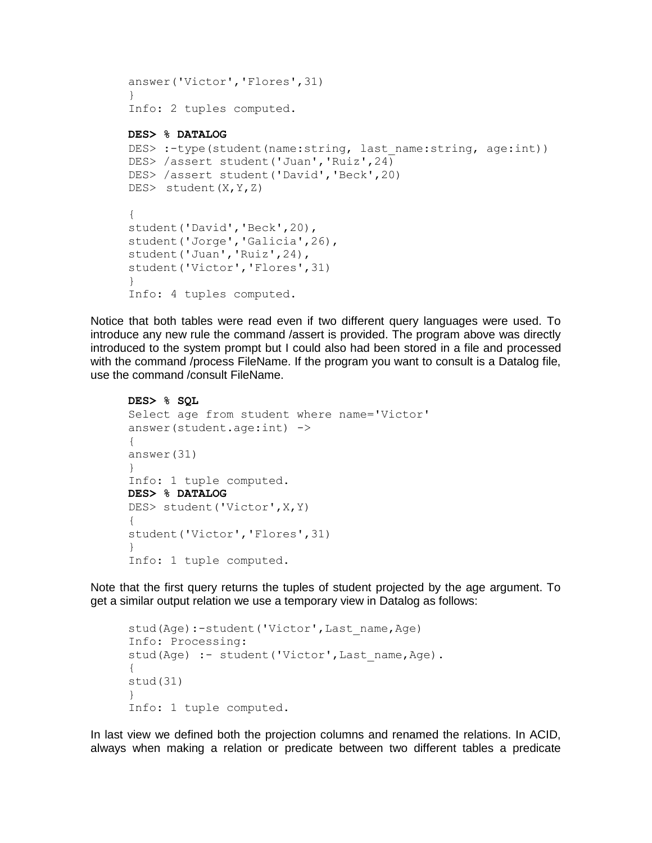```
answer('Victor','Flores',31)
}
Info: 2 tuples computed.
```
#### **DES> % DATALOG**

```
DES>:-type(student(name:string, last name:string, age:int))
DES> /assert student('Juan','Ruiz',24)
DES> /assert student('David','Beck',20)
DES> student(X,Y,Z) 
{
student('David','Beck',20),
student('Jorge','Galicia',26),
student('Juan','Ruiz',24),
student('Victor','Flores',31)
}
Info: 4 tuples computed.
```
Notice that both tables were read even if two different query languages were used. To introduce any new rule the command /assert is provided. The program above was directly introduced to the system prompt but I could also had been stored in a file and processed with the command /process FileName. If the program you want to consult is a Datalog file, use the command /consult FileName.

```
DES> % SQL
```

```
Select age from student where name='Victor' 
answer(student.age:int) ->
{
answer(31)
}
Info: 1 tuple computed. 
DES> % DATALOG 
DES> student('Victor',X,Y) 
{
student('Victor','Flores',31)
}
Info: 1 tuple computed.
```
Note that the first query returns the tuples of student projected by the age argument. To get a similar output relation we use a temporary view in Datalog as follows:

```
stud(Age):-student('Victor', Last name, Age)
Info: Processing:
stud(Age) :- student('Victor', Last name, Age).
{
stud(31)
}
Info: 1 tuple computed.
```
In last view we defined both the projection columns and renamed the relations. In ACID, always when making a relation or predicate between two different tables a predicate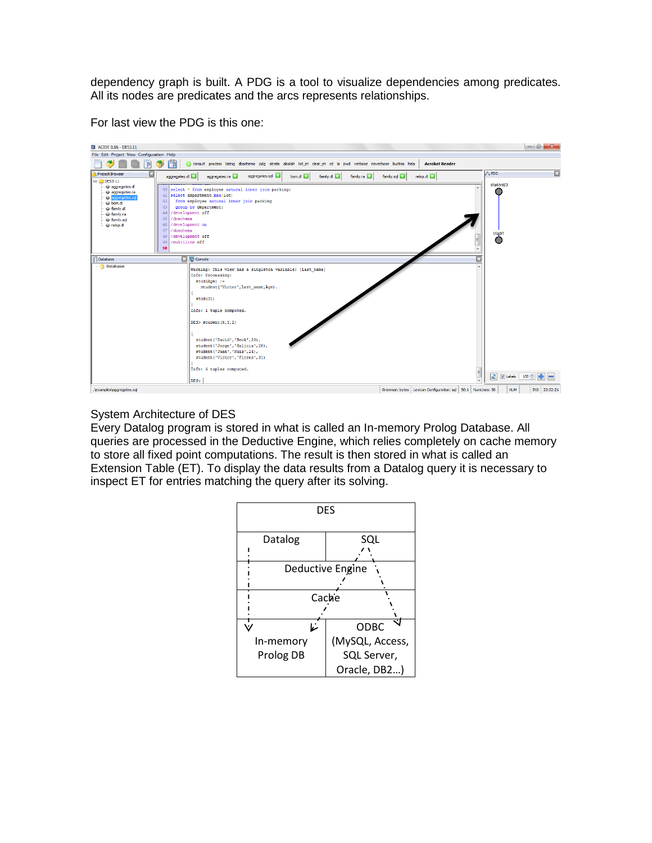dependency graph is built. A PDG is a tool to visualize dependencies among predicates. All its nodes are predicates and the arcs represents relationships.



For last view the PDG is this one:

# System Architecture of DES

Every Datalog program is stored in what is called an In-memory Prolog Database. All queries are processed in the Deductive Engine, which relies completely on cache memory to store all fixed point computations. The result is then stored in what is called an Extension Table (ET). To display the data results from a Datalog query it is necessary to inspect ET for entries matching the query after its solving.

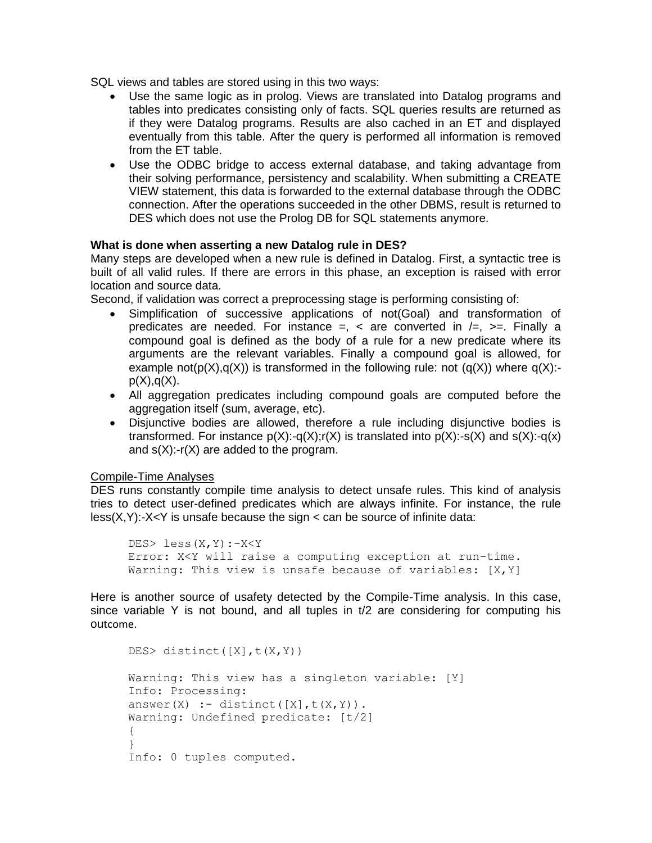SQL views and tables are stored using in this two ways:

- Use the same logic as in prolog. Views are translated into Datalog programs and tables into predicates consisting only of facts. SQL queries results are returned as if they were Datalog programs. Results are also cached in an ET and displayed eventually from this table. After the query is performed all information is removed from the ET table.
- Use the ODBC bridge to access external database, and taking advantage from their solving performance, persistency and scalability. When submitting a CREATE VIEW statement, this data is forwarded to the external database through the ODBC connection. After the operations succeeded in the other DBMS, result is returned to DES which does not use the Prolog DB for SQL statements anymore.

# **What is done when asserting a new Datalog rule in DES?**

Many steps are developed when a new rule is defined in Datalog. First, a syntactic tree is built of all valid rules. If there are errors in this phase, an exception is raised with error location and source data.

Second, if validation was correct a preprocessing stage is performing consisting of:

- Simplification of successive applications of not(Goal) and transformation of predicates are needed. For instance  $=$ ,  $\lt$  are converted in  $\lt =$ ,  $\gt =$ . Finally a compound goal is defined as the body of a rule for a new predicate where its arguments are the relevant variables. Finally a compound goal is allowed, for example not( $p(X), q(X)$ ) is transformed in the following rule: not  $(q(X))$  where  $q(X)$ : $p(X), q(X)$ .
- All aggregation predicates including compound goals are computed before the aggregation itself (sum, average, etc).
- Disjunctive bodies are allowed, therefore a rule including disjunctive bodies is transformed. For instance  $p(X):q(X):r(X)$  is translated into  $p(X):q(X)$  and  $s(X):q(X)$ and  $s(X)$ :-r(X) are added to the program.

#### Compile-Time Analyses

DES runs constantly compile time analysis to detect unsafe rules. This kind of analysis tries to detect user-defined predicates which are always infinite. For instance, the rule  $less(X,Y):X\leq Y$  is unsafe because the sign  $\lt$  can be source of infinite data:

```
DES> less(X,Y):-X<Y 
Error: X<Y will raise a computing exception at run-time.
Warning: This view is unsafe because of variables: [X, Y]
```
Here is another source of usafety detected by the Compile-Time analysis. In this case, since variable Y is not bound, and all tuples in  $t/2$  are considering for computing his outcome.

```
DES> distinct([X],t(X,Y))
Warning: This view has a singleton variable: [Y]
Info: Processing:
answer(X) :- distinct([X],t(X,Y)).
Warning: Undefined predicate: [t/2]
{
}
Info: 0 tuples computed.
```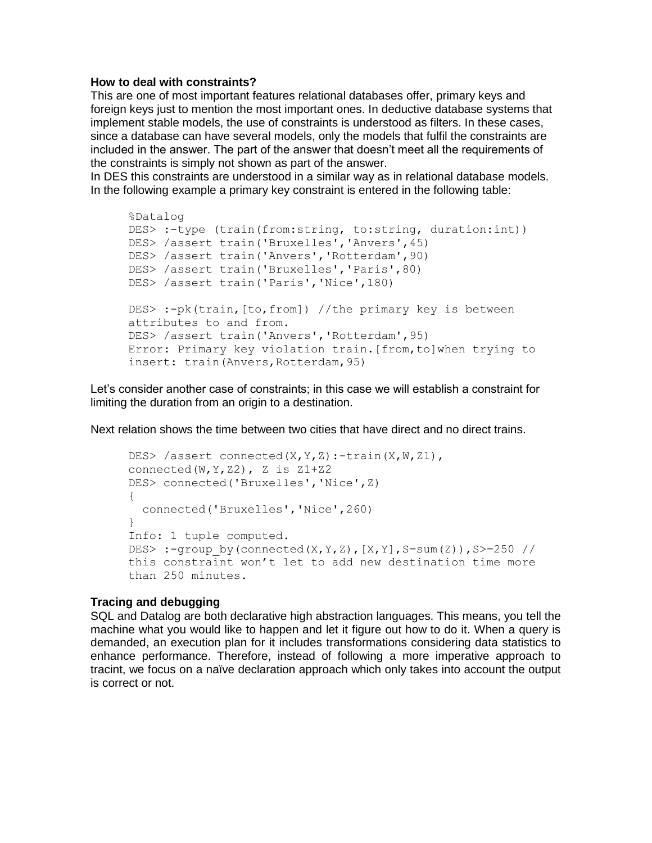#### **How to deal with constraints?**

This are one of most important features relational databases offer, primary keys and foreign keys just to mention the most important ones. In deductive database systems that implement stable models, the use of constraints is understood as filters. In these cases, since a database can have several models, only the models that fulfil the constraints are included in the answer. The part of the answer that doesn't meet all the requirements of the constraints is simply not shown as part of the answer.

In DES this constraints are understood in a similar way as in relational database models. In the following example a primary key constraint is entered in the following table:

```
%Datalog
DES> :-type (train(from:string, to:string, duration:int)) 
DES> /assert train('Bruxelles','Anvers',45) 
DES> /assert train('Anvers','Rotterdam',90) 
DES> /assert train('Bruxelles','Paris',80) 
DES> /assert train('Paris','Nice',180)
DES> :-pk(train,[to,from]) //the primary key is between 
attributes to and from. 
DES> /assert train('Anvers','Rotterdam',95) 
Error: Primary key violation train.[from,to]when trying to 
insert: train(Anvers,Rotterdam,95)
```
Let's consider another case of constraints; in this case we will establish a constraint for limiting the duration from an origin to a destination.

Next relation shows the time between two cities that have direct and no direct trains.

```
DES> /assert connected(X, Y, Z):-train(X, W, Z1),
connected(W, Y, Z2), Z is Z1+Z2
DES> connected('Bruxelles','Nice',Z) 
{
  connected('Bruxelles','Nice',260)
}
Info: 1 tuple computed. 
DES> :-group by(connected(X,Y,Z),[X,Y],S=sum(Z)),S>=250 //
this constraint won't let to add new destination time more 
than 250 minutes.
```
#### **Tracing and debugging**

SQL and Datalog are both declarative high abstraction languages. This means, you tell the machine what you would like to happen and let it figure out how to do it. When a query is demanded, an execution plan for it includes transformations considering data statistics to enhance performance. Therefore, instead of following a more imperative approach to tracint, we focus on a naïve declaration approach which only takes into account the output is correct or not.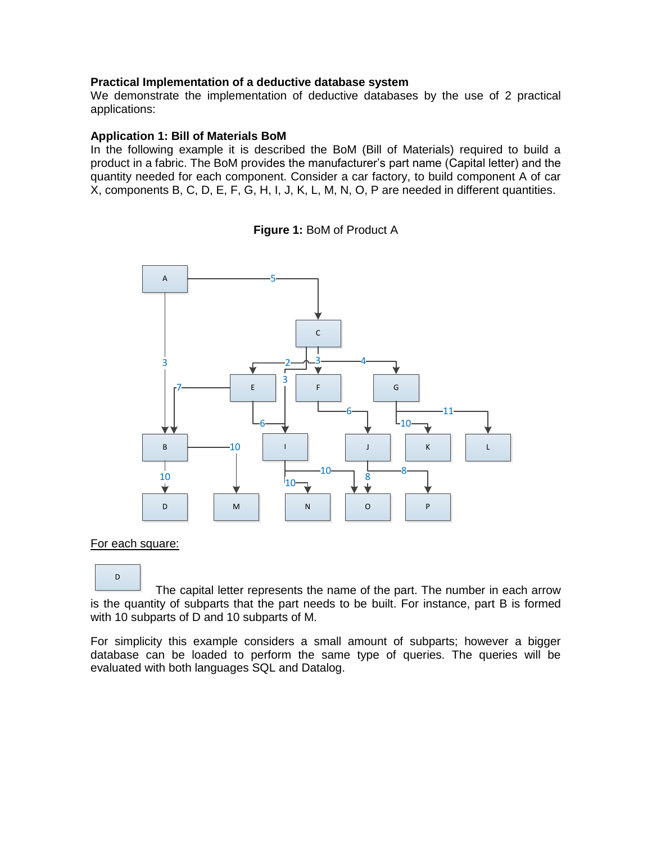## **Practical Implementation of a deductive database system**

We demonstrate the implementation of deductive databases by the use of 2 practical applications:

#### **Application 1: Bill of Materials BoM**

In the following example it is described the BoM (Bill of Materials) required to build a product in a fabric. The BoM provides the manufacturer's part name (Capital letter) and the quantity needed for each component. Consider a car factory, to build component A of car X, components B, C, D, E, F, G, H, I, J, K, L, M, N, O, P are needed in different quantities.





#### For each square:

D

 The capital letter represents the name of the part. The number in each arrow is the quantity of subparts that the part needs to be built. For instance, part B is formed with 10 subparts of D and 10 subparts of M.

For simplicity this example considers a small amount of subparts; however a bigger database can be loaded to perform the same type of queries. The queries will be evaluated with both languages SQL and Datalog.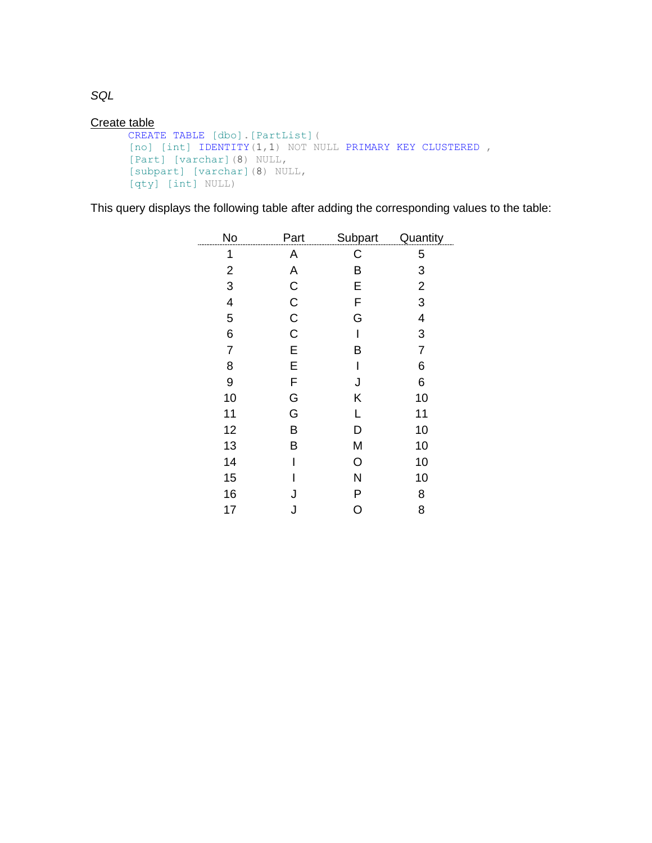Create table

```
CREATE TABLE [dbo].[PartList](
[no] [int] IDENTITY(1,1) NOT NULL PRIMARY KEY CLUSTERED,
[Part] [varchar](8) NULL,
[subpart] [varchar](8) NULL,
[qty] [int] NULL)
```
This query displays the following table after adding the corresponding values to the table:

| No                      | Part        | Subpart | Quantity       |
|-------------------------|-------------|---------|----------------|
| 1                       | A           | C       | 5              |
| $\overline{\mathbf{c}}$ | A           | B       | 3              |
| 3                       | $\mathsf C$ | E       | $\overline{2}$ |
| 4                       | $\mathsf C$ | F       | 3              |
| 5                       | $\mathsf C$ | G       | 4              |
| 6                       | $\mathsf C$ | I       | 3              |
| $\overline{7}$          | E           | Β       | $\overline{7}$ |
| 8                       | E           | I       | 6              |
| 9                       | F           | J       | 6              |
| 10                      | G           | Κ       | 10             |
| 11                      | G           | L       | 11             |
| 12                      | B           | D       | 10             |
| 13                      | B           | M       | 10             |
| 14                      | I           | O       | 10             |
| 15                      |             | N       | 10             |
| 16                      | J           | P       | 8              |
| 17                      | J           | O       | 8              |

*SQL*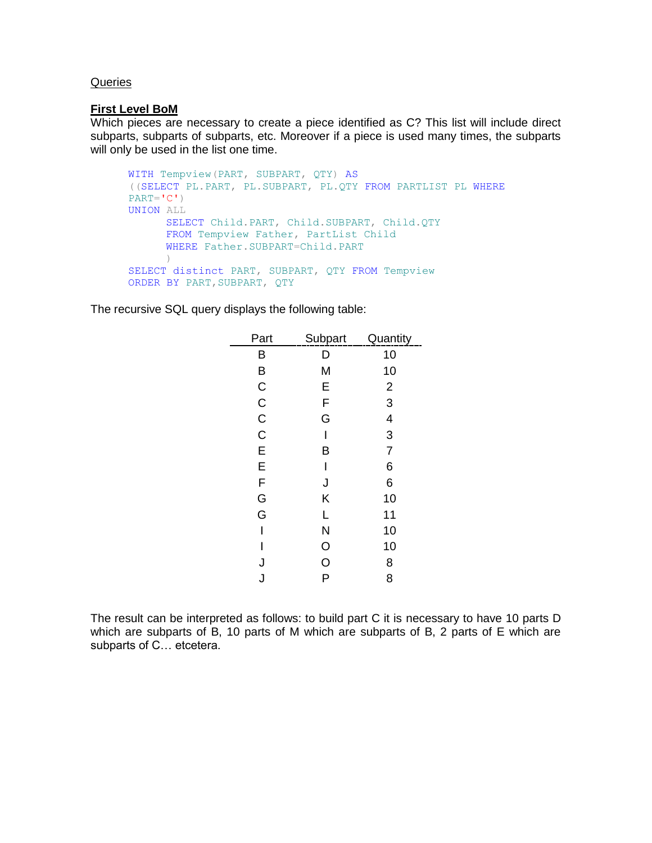#### **Queries**

#### **First Level BoM**

Which pieces are necessary to create a piece identified as C? This list will include direct subparts, subparts of subparts, etc. Moreover if a piece is used many times, the subparts will only be used in the list one time.

```
WITH Tempview(PART, SUBPART, QTY) AS
((SELECT PL.PART, PL.SUBPART, PL.QTY FROM PARTLIST PL WHERE
PART=C')
UNION ALL
      SELECT Child.PART, Child.SUBPART, Child.QTY
      FROM Tempview Father, PartList Child
     WHERE Father.SUBPART=Child.PART
     )SELECT distinct PART, SUBPART, QTY FROM Tempview
ORDER BY PART,SUBPART, QTY
```
The recursive SQL query displays the following table:

| Part             | Subpart | <b>Quantity</b> |
|------------------|---------|-----------------|
| B                | D       | 10              |
| B                | M       | 10              |
|                  | E       | $\overline{2}$  |
|                  | F       | 3               |
| C<br>C<br>C<br>C | G       | 4               |
|                  |         | 3               |
| E                | В       | $\overline{7}$  |
| E                |         | 6               |
| F                | J       | 6               |
| G                | Κ       | 10              |
| G                | L       | 11              |
| I                | N       | 10              |
| ı                | $\circ$ | 10              |
| J                | O       | 8               |
| J                | P       | 8               |
|                  |         |                 |

The result can be interpreted as follows: to build part C it is necessary to have 10 parts D which are subparts of B, 10 parts of M which are subparts of B, 2 parts of E which are subparts of C… etcetera.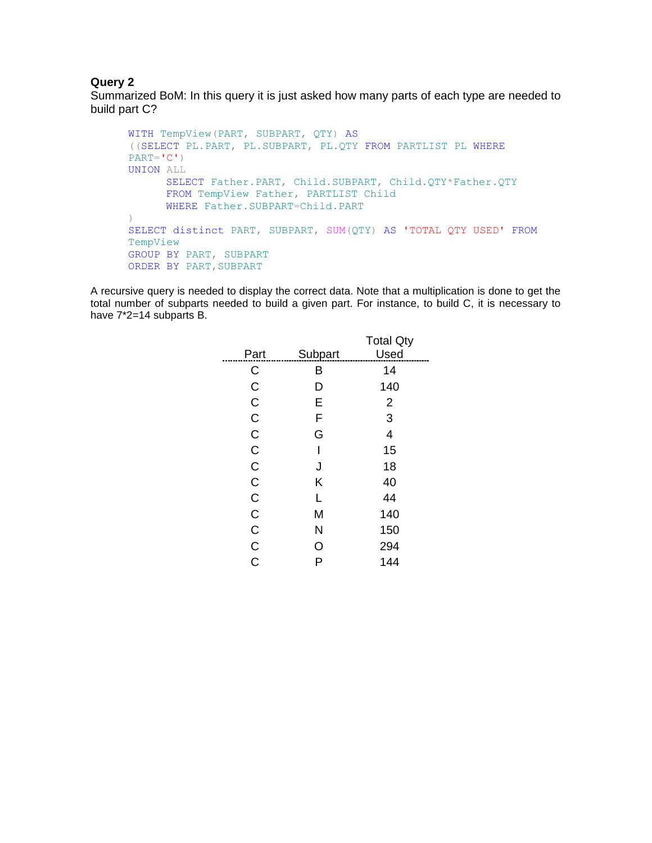# **Query 2**

Summarized BoM: In this query it is just asked how many parts of each type are needed to build part C?

```
WITH TempView(PART, SUBPART, QTY) AS
((SELECT PL.PART, PL.SUBPART, PL.QTY FROM PARTLIST PL WHERE
PART=C<sup>'</sup>)
UNION ALL
     SELECT Father.PART, Child.SUBPART, Child.QTY*Father.QTY
      FROM TempView Father, PARTLIST Child
     WHERE Father.SUBPART=Child.PART
)
SELECT distinct PART, SUBPART, SUM(QTY) AS 'TOTAL QTY USED' FROM
TempView
GROUP BY PART, SUBPART
ORDER BY PART, SUBPART
```
A recursive query is needed to display the correct data. Note that a multiplication is done to get the total number of subparts needed to build a given part. For instance, to build C, it is necessary to have  $7^*2=14$  subparts B.

|               |         | <b>Total Qty</b> |
|---------------|---------|------------------|
| Part          | Subpart | Used             |
| С             | B       | 14               |
| C             | D       | 140              |
| $\mathsf C$   | E       | $\overline{2}$   |
| C             | F       | 3                |
| $\mathsf C$   | G       | 4                |
| $\mathsf C$   | ı       | 15               |
| $\mathsf C$   | J       | 18               |
| $\mathsf C$   | Κ       | 40               |
| C             | L       | 44               |
| $\mathsf C$   | M       | 140              |
| C             | N       | 150              |
| $\frac{C}{C}$ | O       | 294              |
|               | P       | 144              |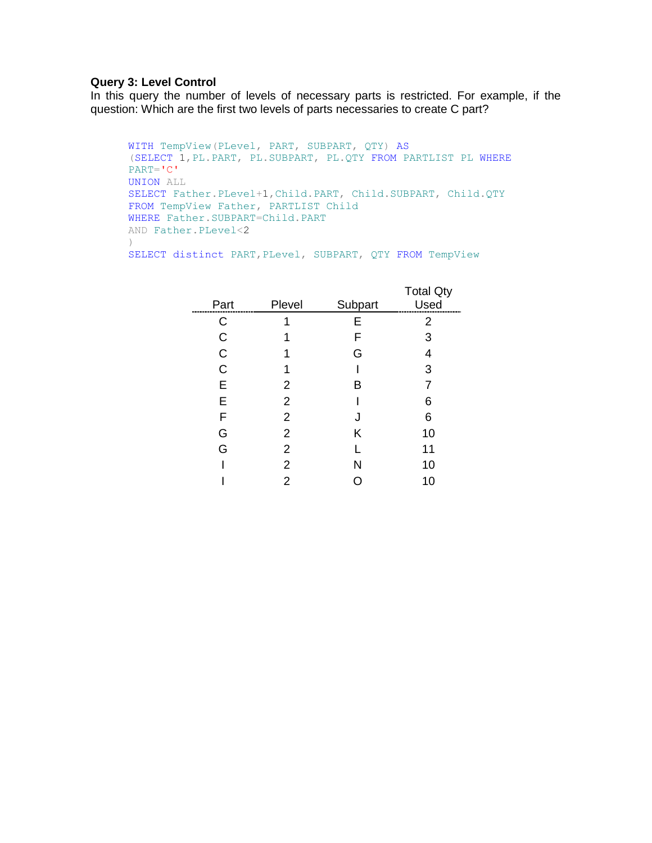## **Query 3: Level Control**

In this query the number of levels of necessary parts is restricted. For example, if the question: Which are the first two levels of parts necessaries to create C part?

```
WITH TempView(PLevel, PART, SUBPART, QTY) AS
(SELECT 1,PL.PART, PL.SUBPART, PL.QTY FROM PARTLIST PL WHERE
PART='C'
UNION ALL
SELECT Father.PLevel+1,Child.PART, Child.SUBPART, Child.QTY
FROM TempView Father, PARTLIST Child
WHERE Father. SUBPART=Child. PART
AND Father.PLevel<2
)
SELECT distinct PART, PLevel, SUBPART, QTY FROM TempView
```

| Part         | Plevel | Subpart | <b>Total Qty</b><br>Used |
|--------------|--------|---------|--------------------------|
| C            |        | Е       | 2                        |
| C            |        | F       | 3                        |
| C            |        | G       | 4                        |
| $\mathsf{C}$ |        |         | 3                        |
| E            | 2      | в       | 7                        |
| E            | 2      |         | 6                        |
| F            | 2      | J       | 6                        |
| G            | 2      | Κ       | 10                       |
| G            | 2      |         | 11                       |
|              | 2      | N       | 10                       |
|              | 2      |         | 10                       |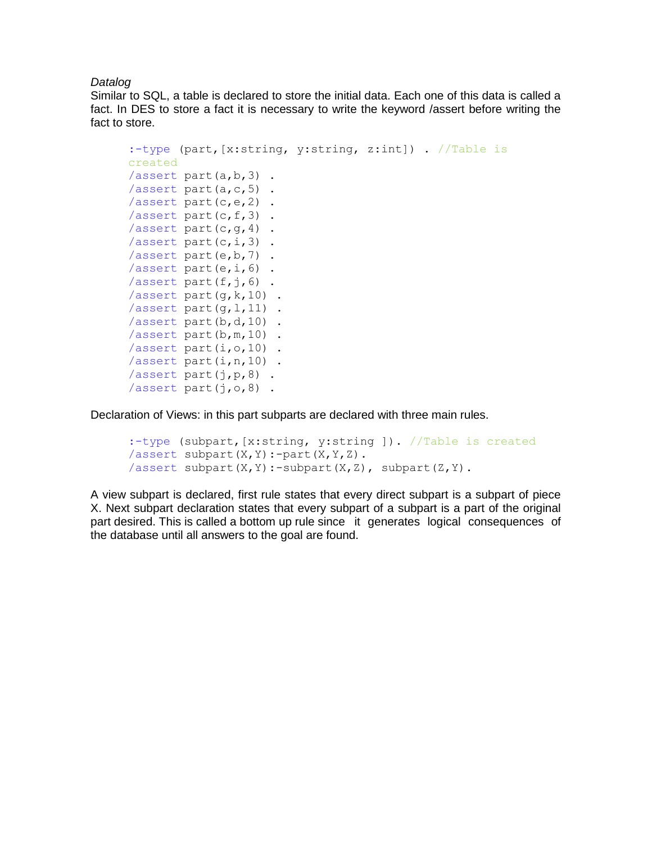*Datalog*

Similar to SQL, a table is declared to store the initial data. Each one of this data is called a fact. In DES to store a fact it is necessary to write the keyword /assert before writing the fact to store.

```
:-type (part,[x:string, y:string, z:int]) . //Table is 
created
/assert part(a,b,3).
/assert part(a, c, 5).
/assert part(c,e,2) .
/assert part(c, f, 3).
/assert part(c, g, 4).
/assert part(c,i,3).
/assert part(e, b, 7).
/assert part(e, i, 6).
/assert part(f, j, 6).
/assert part(q, k, 10).
/assert part(q, 1, 11).
/assert part(b, d, 10).
/assert part(b, m, 10).
/assert part(i,o,10) .
/assert part(i, n, 10).
/assert part(j,p,8) .
/assert part(j,o,8) .
```
Declaration of Views: in this part subparts are declared with three main rules.

```
:-type (subpart,[x:string, y:string ]). //Table is created
/assert subpart(X,Y):-part(X,Y,Z).
/assert subpart(X, Y) :-subpart(X, Z), subpart(Z, Y).
```
A view subpart is declared, first rule states that every direct subpart is a subpart of piece X. Next subpart declaration states that every subpart of a subpart is a part of the original part desired. This is called a bottom up rule since it generates logical consequences of the database until all answers to the goal are found.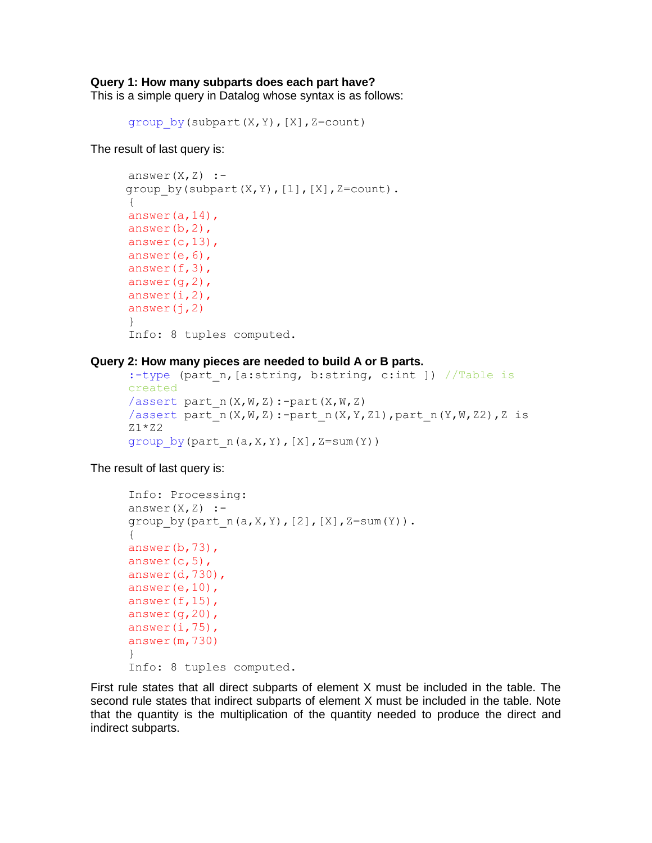#### **Query 1: How many subparts does each part have?**

This is a simple query in Datalog whose syntax is as follows:

```
group by (subpart(X,Y), [X], Z=count)
```
The result of last query is:

```
answer(X, Z) :-
group by(subpart(X,Y), [1], [X], Z=count).
{
answer(a,14),
answer(b,2),
answer(c,13),
answer(e,6),
answer(f,3),
answer(g, 2),
answer(i, 2),
answer(j,2)}
Info: 8 tuples computed.
```
#### **Query 2: How many pieces are needed to build A or B parts.**

```
:-type (part n, [a:string, b:string, c:int ]) //Table is
created
/assert part n(X,W,Z):-part(X,W,Z)/assert part n(X,W,Z):-part n(X,Y,Z1), part n(Y,W,Z2), Z is
Z1*Z2group by(part n(a,X,Y), [X], Z=sum(Y))
```
The result of last query is:

```
Info: Processing:
answer(X, Z) :-
group by(part n(a,X,Y), [2], [X], Z=sum(Y)).
{
answer(b,73),
answer(c, 5),
answer(d,730),
answer(e,10),
answer(f,15),
answer(g,20),
answer(i, 75),
answer(m,730)
}
Info: 8 tuples computed.
```
First rule states that all direct subparts of element X must be included in the table. The second rule states that indirect subparts of element X must be included in the table. Note that the quantity is the multiplication of the quantity needed to produce the direct and indirect subparts.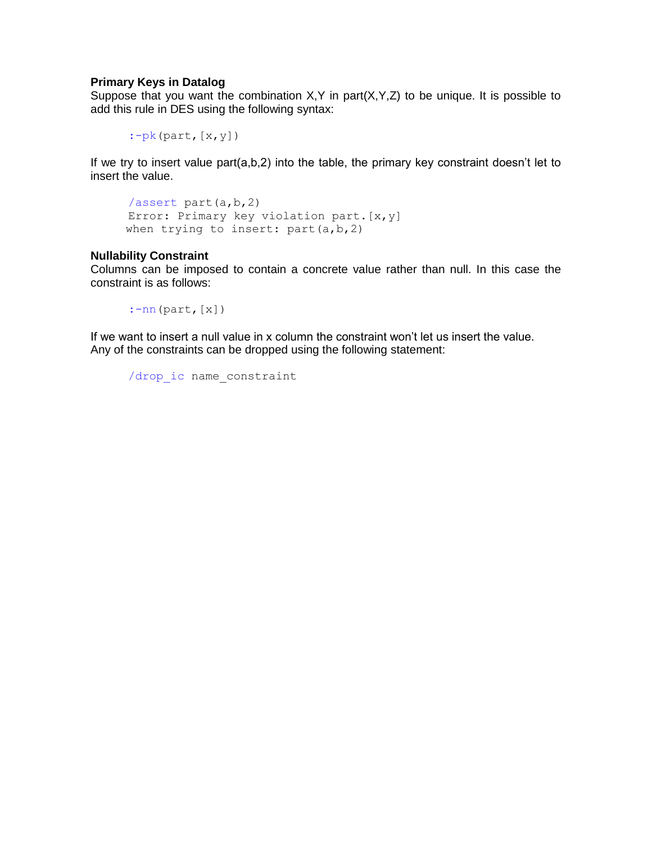## **Primary Keys in Datalog**

Suppose that you want the combination  $X, Y$  in part $(X, Y, Z)$  to be unique. It is possible to add this rule in DES using the following syntax:

 $:=$ pk(part,  $[x, y]$ )

If we try to insert value part(a,b,2) into the table, the primary key constraint doesn't let to insert the value.

```
/assert part(a,b,2)
Error: Primary key violation part.[x,y]
when trying to insert: part(a,b,2)
```
#### **Nullability Constraint**

Columns can be imposed to contain a concrete value rather than null. In this case the constraint is as follows:

:-nn(part,[x])

If we want to insert a null value in x column the constraint won't let us insert the value. Any of the constraints can be dropped using the following statement:

```
/drop_ic name_constraint
```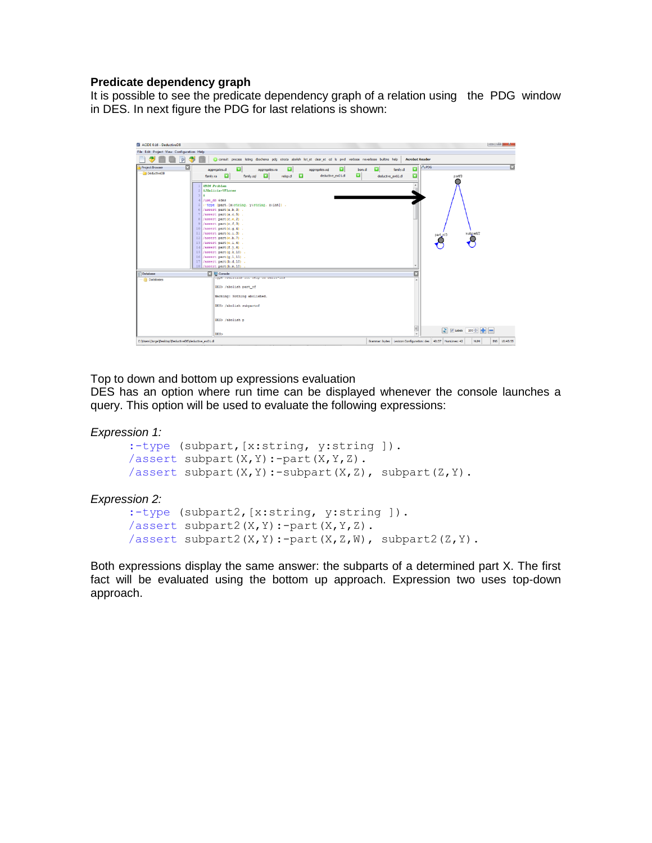## **Predicate dependency graph**

It is possible to see the predicate dependency graph of a relation using the PDG window in DES. In next figure the PDG for last relations is shown:

| EX ACIDE 0.16 - DeductiveDB                                                                                                                                                                                                                                                                                                                                                                                                                                                                                                                                                                                                                                                                                                                                   | 10 U A                                                                                                                                                                   |
|---------------------------------------------------------------------------------------------------------------------------------------------------------------------------------------------------------------------------------------------------------------------------------------------------------------------------------------------------------------------------------------------------------------------------------------------------------------------------------------------------------------------------------------------------------------------------------------------------------------------------------------------------------------------------------------------------------------------------------------------------------------|--------------------------------------------------------------------------------------------------------------------------------------------------------------------------|
| File Edit Project View Configuration Help                                                                                                                                                                                                                                                                                                                                                                                                                                                                                                                                                                                                                                                                                                                     |                                                                                                                                                                          |
| consult process listing doschema pdg strata abolish list_et clear_et cd is pwd verbose noverbose builtins help                                                                                                                                                                                                                                                                                                                                                                                                                                                                                                                                                                                                                                                | <b>Acrobat Reader</b>                                                                                                                                                    |
| Project Browser<br>$\mathbf{E}$<br>國<br>$\mathbf{z}$<br>bom.dl<br>aggregates.d<br>aggregates.ra<br>aggregates.sd<br>- DeductiveDB<br>図<br>$\mathbf{x}$<br>$\mathbf{z}$<br>relop.d Ed<br>deductive_ex01.dl<br>family.ra<br>family.sgl<br>1 <b>SROM</b> Problem<br>$2$ <i>aJGalicia-VFlores</i><br>$31+$<br>4 /use db #des<br>5 :- type (part, [x:string, y:string, z:int]) .<br>$6$ /assert part $(a, b, 3)$ .<br>$7$ /assert part(a.c.5).<br>8 /assert part(c.e.2).<br>$9$ /assert part(c,f,3).<br>10 /assert part(c,q,4) .<br>11 /assert part(c,i,3) .<br>12 /assert part(e.b.7).<br>13 /assert part(e.i.6).<br>14 /assert part $(f,j,6)$ .<br>15 /assert part(g.k.10).<br>16 /assert part(g,1,11) .<br>17 /assert part(b,d,10).<br>18 /assert part(b,m,10). | A <sub>b</sub> PDG<br>囩<br>図<br>$\mathbf{x}$<br>family.dl<br>$\overline{\mathbf{x}}$<br>deductive ex02.dl<br>part/3<br>$\overline{a}$<br>subpart/2<br>$p$ art $n/3$<br>O |
| <b>Ed Console</b><br><b>Database</b><br>Type /pursuins for neap on pursu-rans<br>- <b>Patabases</b><br>DES> /abolish part of<br>Warning: Nothing abolished.<br>DES> /abolish subpartof<br>DES> /abolish p                                                                                                                                                                                                                                                                                                                                                                                                                                                                                                                                                     |                                                                                                                                                                          |
| DES><br>C:\Users\Jorge\Desktop\DeductiveD8\deductive_ex01.dl                                                                                                                                                                                                                                                                                                                                                                                                                                                                                                                                                                                                                                                                                                  | Grammar: bytes Lexicon Configuration: des 40:37 NumLines: 42<br><b>NUM</b><br>INS 16:45:55                                                                               |

Top to down and bottom up expressions evaluation

DES has an option where run time can be displayed whenever the console launches a query. This option will be used to evaluate the following expressions:

#### *Expression 1:*

```
:-type (subpart,[x:string, y:string ]).
/assert subpart(X, Y):-part(X, Y, Z).
/assert subpart(X, Y):-subpart(X, Z), subpart(Z, Y).
```
#### *Expression 2:*

```
:-type (subpart2,[x:string, y:string ]).
/assert subpart2(X, Y):-part(X, Y, Z).
/assert subpart2(X, Y):-part(X, Z, W), subpart2(Z, Y).
```
Both expressions display the same answer: the subparts of a determined part X. The first fact will be evaluated using the bottom up approach. Expression two uses top-down approach.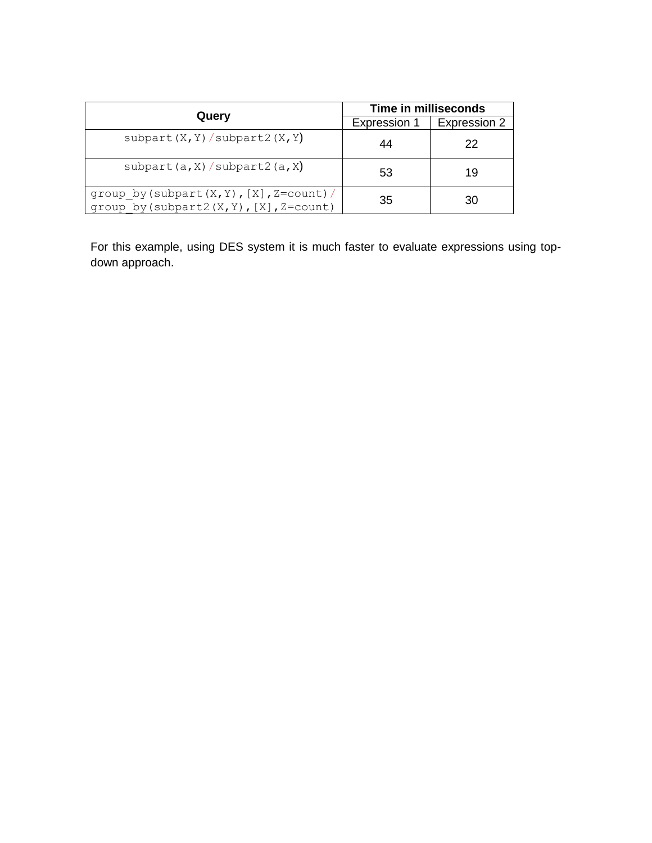| Query                                                                                             | Time in milliseconds |              |
|---------------------------------------------------------------------------------------------------|----------------------|--------------|
|                                                                                                   | Expression 1         | Expression 2 |
| subpart $(X, Y)$ / subpart 2 $(X, Y)$                                                             | 44                   | 22           |
| subpart $(a, X)$ / subpart 2 $(a, X)$                                                             | 53                   | 19           |
| group by (subpart $(X, Y)$ , $[X]$ , Z=count) /<br>group by (subpart2 $(X, Y)$ , $[X]$ , Z=count) | 35                   | 30           |

For this example, using DES system it is much faster to evaluate expressions using topdown approach.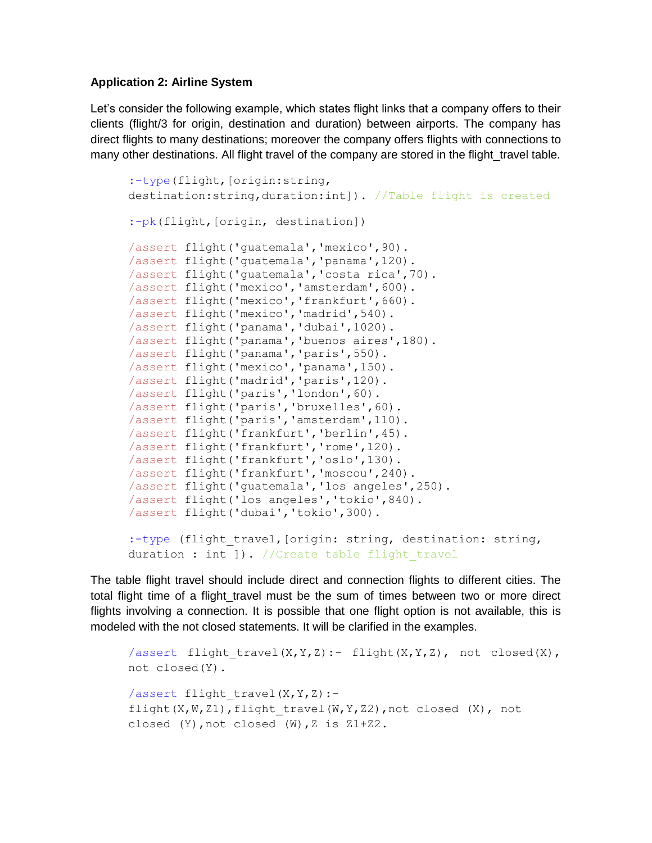## **Application 2: Airline System**

Let's consider the following example, which states flight links that a company offers to their clients (flight/3 for origin, destination and duration) between airports. The company has direct flights to many destinations; moreover the company offers flights with connections to many other destinations. All flight travel of the company are stored in the flight travel table.

```
:-type(flight,[origin:string, 
destination:string,duration:int]). //Table flight is created
:-pk(flight, [origin, destination])
/assert flight('guatemala','mexico',90).
/assert flight('guatemala','panama',120).
/assert flight('guatemala','costa rica',70).
/assert flight('mexico','amsterdam',600).
/assert flight('mexico','frankfurt',660).
/assert flight('mexico','madrid',540).
/assert flight('panama','dubai',1020).
/assert flight('panama','buenos aires',180).
/assert flight('panama','paris',550).
/assert flight('mexico','panama',150).
/assert flight('madrid','paris',120).
/assert flight('paris','london',60).
/assert flight('paris','bruxelles',60).
/assert flight('paris','amsterdam',110).
/assert flight('frankfurt','berlin',45).
/assert flight('frankfurt','rome',120).
/assert flight('frankfurt','oslo',130).
/assert flight('frankfurt','moscou',240).
/assert flight('guatemala','los angeles',250).
/assert flight('los angeles','tokio',840).
/assert flight('dubai','tokio',300).
:-type (flight travel, [origin: string, destination: string,
duration : int ]). //Create table flight travel
```
The table flight travel should include direct and connection flights to different cities. The total flight time of a flight\_travel must be the sum of times between two or more direct flights involving a connection. It is possible that one flight option is not available, this is modeled with the not closed statements. It will be clarified in the examples.

```
/assert flight travel(X, Y, Z):- flight(X,Y,Z), not closed(X),
not closed(Y).
/assert flight travel(X, Y, Z) :-
flight(X,W,Z1),flight travel(W,Y,Z2),not closed (X), not
closed (Y), not closed (W), Z is Z1+Z2.
```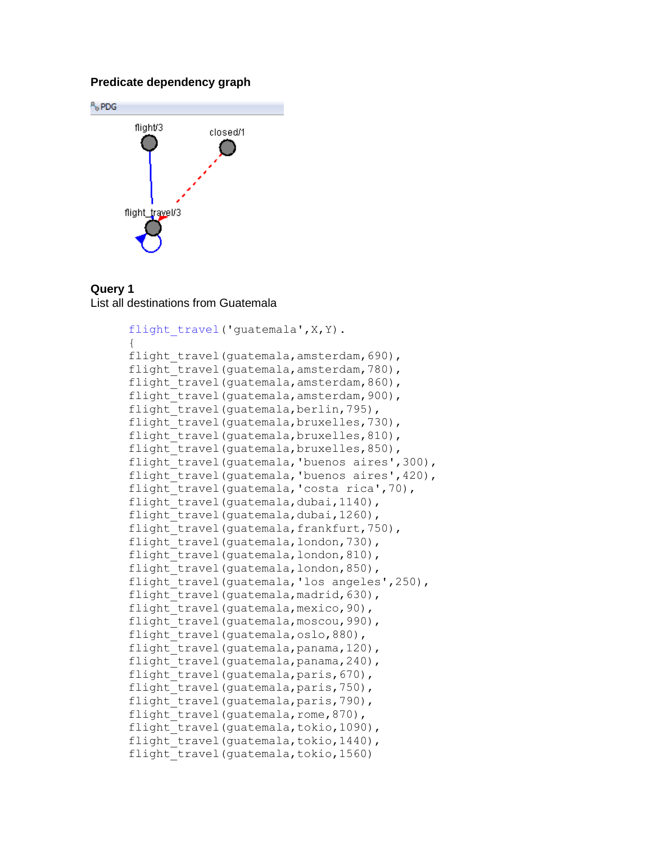#### **Predicate dependency graph**



#### **Query 1** List all destinations from Guatemala

```
flight travel('guatemala', X, Y).
{
flight travel(quatemala, amsterdam, 690),
flight travel(guatemala, amsterdam, 780),
flight travel(quatemala, amsterdam, 860),
flight travel(guatemala, amsterdam, 900),
flight travel(guatemala, berlin, 795),
flight travel(quatemala, bruxelles, 730),
flight travel(guatemala, bruxelles, 810),
flight travel(guatemala, bruxelles, 850),
flight travel(guatemala, 'buenos aires', 300),
flight travel(guatemala, 'buenos aires', 420),
flight travel(guatemala, 'costa rica',70),
flight travel(guatemala,dubai,1140),
flight travel(guatemala,dubai,1260),
flight travel(quatemala,frankfurt,750),
flight travel(quatemala, london, 730),
flight travel(quatemala, london, 810),
flight travel (guatemala, london, 850),
flight travel(quatemala, 'los angeles', 250),
flight travel(quatemala,madrid,630),
flight travel(guatemala, mexico, 90),
flight travel(quatemala, moscou, 990),
flight travel(quatemala,oslo,880),
flight travel(guatemala, panama, 120),
flight travel(guatemala, panama, 240),
flight travel(quatemala,paris,670),
flight travel(quatemala,paris,750),
flight travel(quatemala,paris,790),
flight travel(guatemala, rome, 870),
flight travel(quatemala,tokio,1090),
flight travel(guatemala,tokio,1440),
flight travel(guatemala,tokio,1560)
```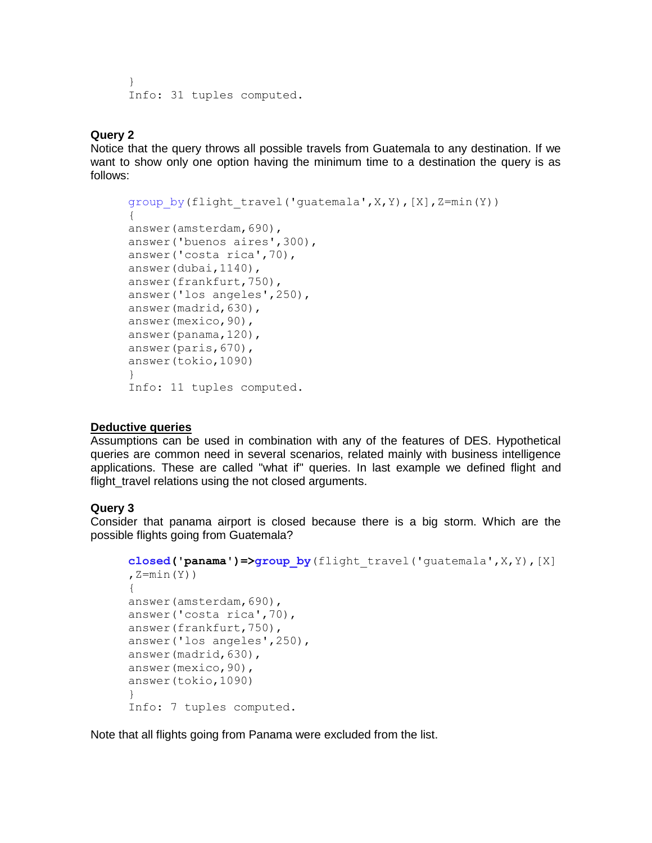```
}
Info: 31 tuples computed.
```
# **Query 2**

Notice that the query throws all possible travels from Guatemala to any destination. If we want to show only one option having the minimum time to a destination the query is as follows:

```
group by(flight travel('quatemala',X,Y),[X],Z=min(Y))
{
answer(amsterdam,690),
answer('buenos aires',300),
answer('costa rica',70),
answer(dubai,1140),
answer(frankfurt,750),
answer('los angeles',250),
answer(madrid,630),
answer(mexico,90),
answer(panama,120),
answer(paris,670),
answer(tokio,1090)
}
Info: 11 tuples computed.
```
## **Deductive queries**

Assumptions can be used in combination with any of the features of DES. Hypothetical queries are common need in several scenarios, related mainly with business intelligence applications. These are called "what if" queries. In last example we defined flight and flight travel relations using the not closed arguments.

# **Query 3**

Consider that panama airport is closed because there is a big storm. Which are the possible flights going from Guatemala?

```
closed('panama')=>group_by(flight_travel('guatemala',X,Y),[X]
,Z=min(Y))
{
answer(amsterdam,690),
answer('costa rica',70),
answer(frankfurt,750),
answer('los angeles',250),
answer(madrid,630),
answer(mexico,90),
answer(tokio,1090)
}
Info: 7 tuples computed.
```
Note that all flights going from Panama were excluded from the list.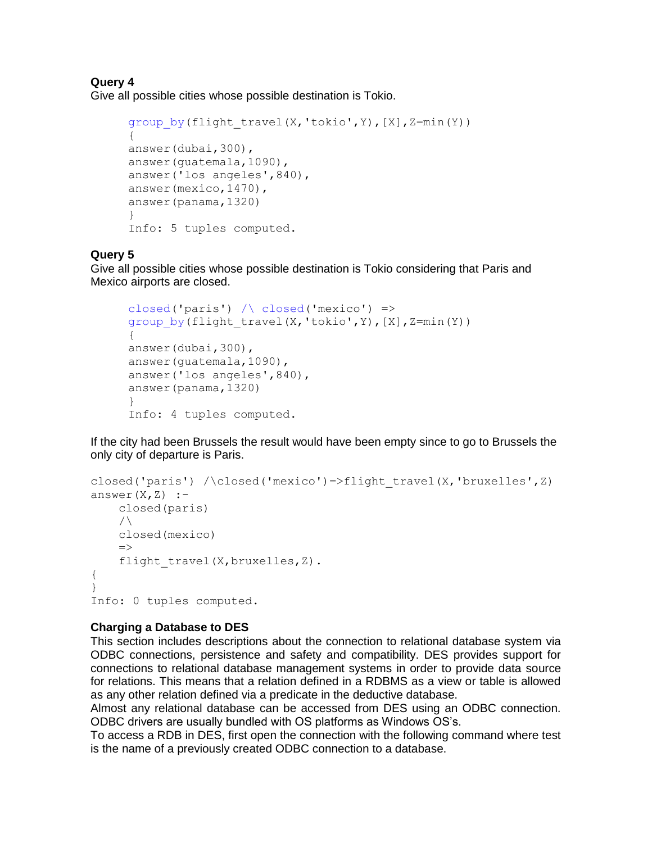# **Query 4**

Give all possible cities whose possible destination is Tokio.

```
group by(flight travel(X, 'tokio', Y), [X], Z=min(Y))
{
answer(dubai,300),
answer(guatemala,1090),
answer('los angeles',840),
answer(mexico,1470),
answer(panama,1320)
}
Info: 5 tuples computed.
```
# **Query 5**

Give all possible cities whose possible destination is Tokio considering that Paris and Mexico airports are closed.

```
closed('paris') \wedge closed('mexico') =>
group by(flight travel(X, 'tokio', Y), [X], Z=min(Y))
{
answer(dubai,300),
answer(guatemala,1090),
answer('los angeles',840),
answer(panama,1320)
}
Info: 4 tuples computed.
```
If the city had been Brussels the result would have been empty since to go to Brussels the only city of departure is Paris.

```
closed('paris') /\closed('mexico')=>flight_travel(X,'bruxelles',Z)
answer(X,Z) :-
     closed(paris)
    /\setminus closed(mexico)
    \Rightarrowflight travel(X, bruxelles, Z).
{
}
Info: 0 tuples computed.
```
# **Charging a Database to DES**

This section includes descriptions about the connection to relational database system via ODBC connections, persistence and safety and compatibility. DES provides support for connections to relational database management systems in order to provide data source for relations. This means that a relation defined in a RDBMS as a view or table is allowed as any other relation defined via a predicate in the deductive database.

Almost any relational database can be accessed from DES using an ODBC connection. ODBC drivers are usually bundled with OS platforms as Windows OS's.

To access a RDB in DES, first open the connection with the following command where test is the name of a previously created ODBC connection to a database.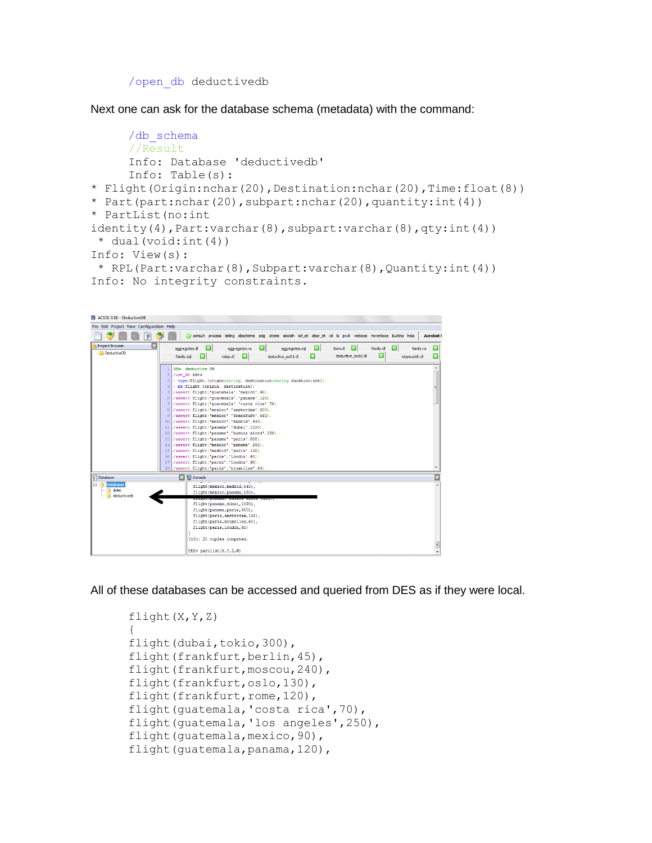/open\_db deductivedb

Next one can ask for the database schema (metadata) with the command:

```
/db_schema
     //Result
     Info: Database 'deductivedb'
     Info: Table(s):
* Flight(Origin:nchar(20),Destination:nchar(20),Time:float(8))
* Part(part:nchar(20),subpart:nchar(20),quantity:int(4))
* PartList(no:int 
identity(4), Part:varchar(8), subpart:varchar(8), qty:int(4))
 \star dual(void:int(4))
Info: View(s):
 * RPL(Part:varchar(8),Subpart:varchar(8),Quantity:int(4))
Info: No integrity constraints.
```


All of these databases can be accessed and queried from DES as if they were local.

```
flight(X,Y,Z)
{
flight(dubai,tokio,300),
flight(frankfurt, berlin, 45),
flight(frankfurt, moscou, 240),
flight(frankfurt,oslo,130),
flight(frankfurt, rome, 120),
flight(guatemala,'costa rica',70),
flight(guatemala, 'los angeles', 250),
flight(guatemala, mexico, 90),
flight(guatemala,panama,120),
```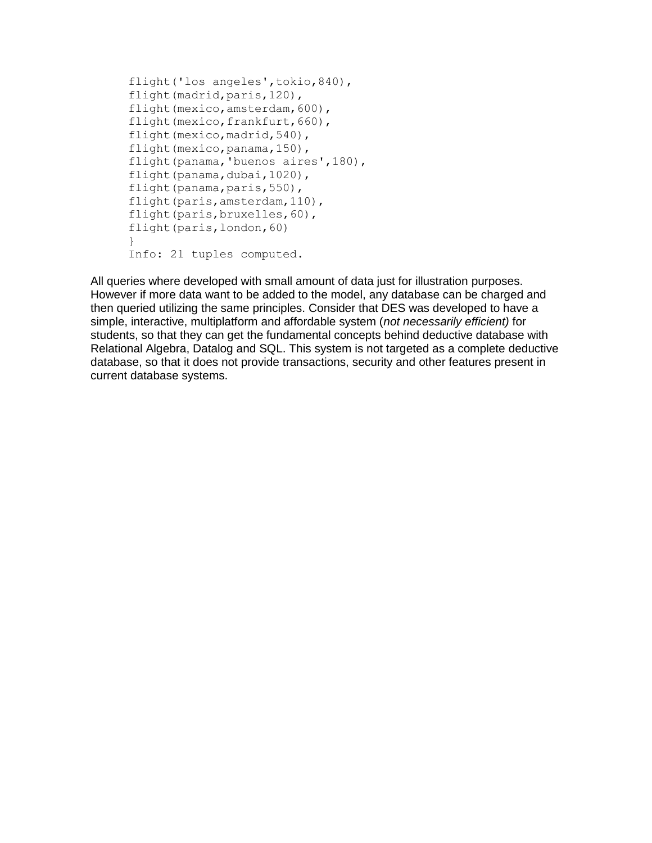```
flight('los angeles',tokio,840),
flight(madrid,paris,120),
flight(mexico,amsterdam,600),
flight(mexico,frankfurt,660),
flight(mexico, madrid, 540),
flight(mexico, panama, 150),
flight(panama,'buenos aires',180),
flight(panama,dubai,1020),
flight(panama,paris,550),
flight(paris, amsterdam, 110),
flight(paris,bruxelles,60),
flight(paris,london,60)
}
Info: 21 tuples computed.
```
All queries where developed with small amount of data just for illustration purposes. However if more data want to be added to the model, any database can be charged and then queried utilizing the same principles. Consider that DES was developed to have a simple, interactive, multiplatform and affordable system (*not necessarily efficient)* for students, so that they can get the fundamental concepts behind deductive database with Relational Algebra, Datalog and SQL. This system is not targeted as a complete deductive database, so that it does not provide transactions, security and other features present in current database systems.